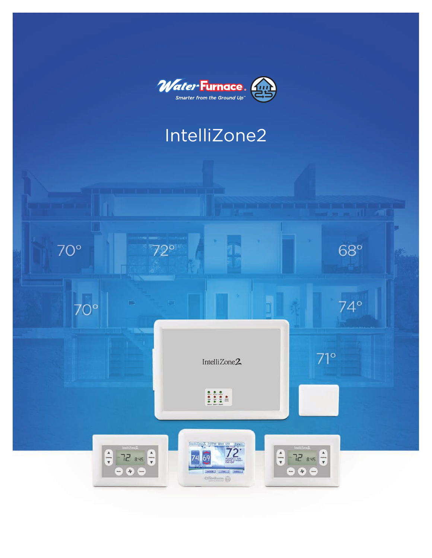

# IntelliZone2